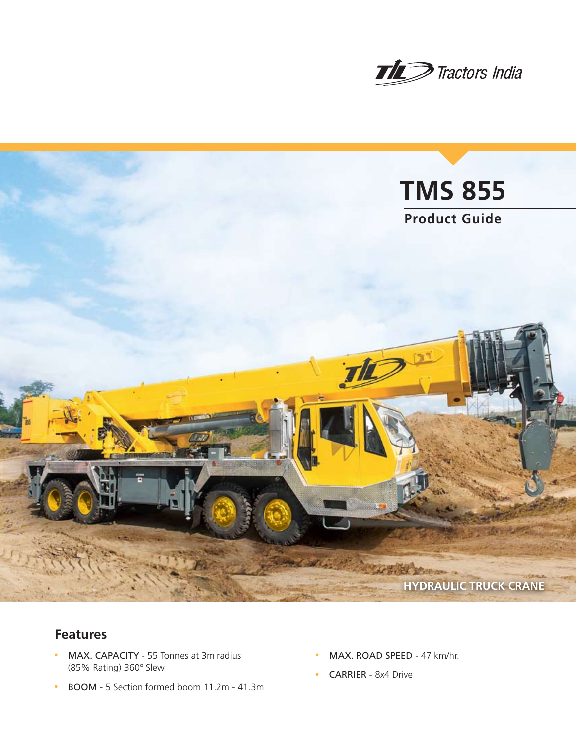



# **Features**

- MAX. CAPACITY 55 Tonnes at 3m radius (85% Rating) 360° Slew
- BOOM 5 Section formed boom 11.2m 41.3m
- MAX. ROAD SPEED 47 km/hr.
- **CARRIER** 8x4 Drive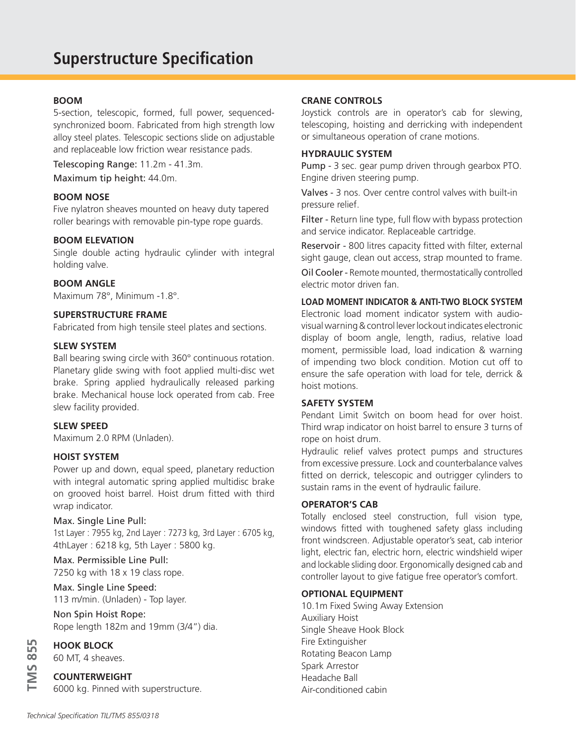# **BOOM**

5-section, telescopic, formed, full power, sequencedsynchronized boom. Fabricated from high strength low alloy steel plates. Telescopic sections slide on adjustable and replaceable low friction wear resistance pads.

Telescoping Range: 11.2m - 41.3m. Maximum tip height: 44.0m.

#### **BOOM NOSE**

Five nylatron sheaves mounted on heavy duty tapered roller bearings with removable pin-type rope guards.

#### **BOOM ELEVATION**

Single double acting hydraulic cylinder with integral holding valve.

#### **BOOM ANGLE**

Maximum 78°, Minimum -1.8°.

#### **SUPERSTRUCTURE FRAME**

Fabricated from high tensile steel plates and sections.

### **SLEW SYSTEM**

Ball bearing swing circle with 360° continuous rotation. Planetary glide swing with foot applied multi-disc wet brake. Spring applied hydraulically released parking brake. Mechanical house lock operated from cab. Free slew facility provided.

## **SLEW SPEED**

Maximum 2.0 RPM (Unladen).

#### **HOIST SYSTEM**

Power up and down, equal speed, planetary reduction with integral automatic spring applied multidisc brake on grooved hoist barrel. Hoist drum fitted with third wrap indicator.

#### Max. Single Line Pull:

1st Layer : 7955 kg, 2nd Layer : 7273 kg, 3rd Layer : 6705 kg, 4thLayer : 6218 kg, 5th Layer : 5800 kg.

Max. Permissible Line Pull: 7250 kg with 18 x 19 class rope.

Max. Single Line Speed: 113 m/min. (Unladen) - Top layer.

Non Spin Hoist Rope: Rope length 182m and 19mm (3/4") dia.

**HOOK BLOCK**

**TMS 855**

**TMS 855** 

60 MT, 4 sheaves.

#### **COUNTERWEIGHT**

6000 kg. Pinned with superstructure.

### **CRANE CONTROLS**

Joystick controls are in operator's cab for slewing, telescoping, hoisting and derricking with independent or simultaneous operation of crane motions.

#### **HYDRAULIC SYSTEM**

Pump - 3 sec. gear pump driven through gearbox PTO. Engine driven steering pump.

Valves - 3 nos. Over centre control valves with built-in pressure relief.

Filter - Return line type, full flow with bypass protection and service indicator. Replaceable cartridge.

Reservoir - 800 litres capacity fitted with filter, external sight gauge, clean out access, strap mounted to frame.

Oil Cooler - Remote mounted, thermostatically controlled electric motor driven fan.

## **LOAD MOMENT INDICATOR & ANTI-TWO BLOCK SYSTEM**

Electronic load moment indicator system with audiovisual warning & control lever lockout indicates electronic display of boom angle, length, radius, relative load moment, permissible load, load indication & warning of impending two block condition. Motion cut off to ensure the safe operation with load for tele, derrick & hoist motions.

## **SAFETY SYSTEM**

Pendant Limit Switch on boom head for over hoist. Third wrap indicator on hoist barrel to ensure 3 turns of rope on hoist drum.

Hydraulic relief valves protect pumps and structures from excessive pressure. Lock and counterbalance valves fitted on derrick, telescopic and outrigger cylinders to sustain rams in the event of hydraulic failure.

#### **OPERATOR'S CAB**

Totally enclosed steel construction, full vision type, windows fitted with toughened safety glass including front windscreen. Adjustable operator's seat, cab interior light, electric fan, electric horn, electric windshield wiper and lockable sliding door. Ergonomically designed cab and controller layout to give fatigue free operator's comfort.

#### **OPTIONAL EQUIPMENT**

10.1m Fixed Swing Away Extension Auxiliary Hoist Single Sheave Hook Block Fire Extinguisher Rotating Beacon Lamp Spark Arrestor Headache Ball Air-conditioned cabin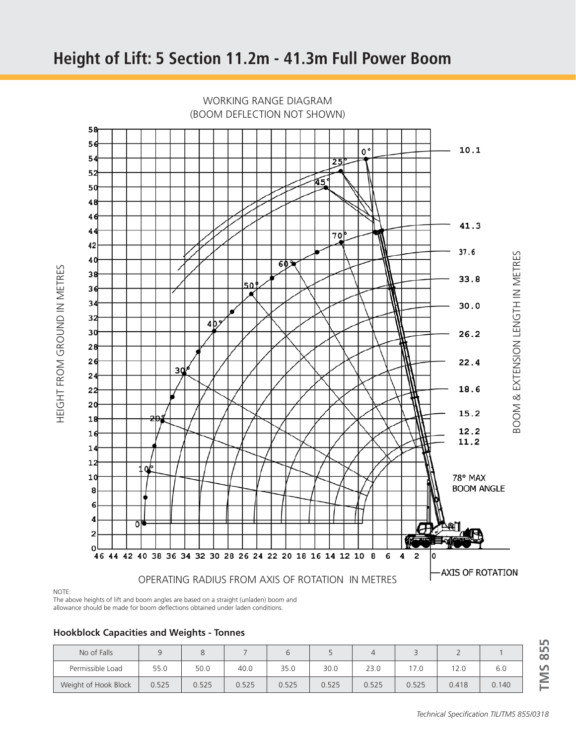

WORKING RANGE DIAGRAM

HEIGHT FROM GROUND IN METRES HEIGHT FROM GROUND IN METRES



The above heights of lift and boom angles are based on a straight (unladen) boom and allowance should be made for boom deflections obtained under laden conditions.

**Hookblock Capacities and Weights - Tonnes**

| No of Falls          |       |       |       |       |       |       |       |       |       |
|----------------------|-------|-------|-------|-------|-------|-------|-------|-------|-------|
| Permissible Load     | 55.0  | 50.0  | 40.0  | 35.0  | 30.0  | 23.0  | 17.0  | 12.0  | 6.0   |
| Weight of Hook Block | 0.525 | 0.525 | 0.525 | 0.525 | 0.525 | 0.525 | 0.525 | 0.418 | 0.140 |

**IMS 855 TMS 855**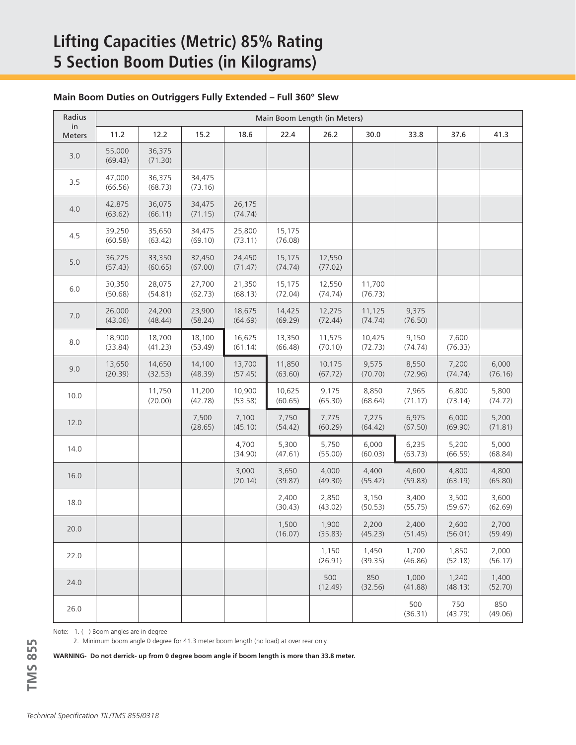# **Lifting Capacities (Metric) 85% Rating 5 Section Boom Duties (in Kilograms)**

## **Main Boom Duties on Outriggers Fully Extended – Full 360° Slew**

| Radius              | Main Boom Length (in Meters) |                   |                   |                   |                   |                   |                   |                  |                  |                  |
|---------------------|------------------------------|-------------------|-------------------|-------------------|-------------------|-------------------|-------------------|------------------|------------------|------------------|
| in<br><b>Meters</b> | 11.2                         | 12.2              | 15.2              | 18.6              | 22.4              | 26.2              | 30.0              | 33.8             | 37.6             | 41.3             |
| 3.0                 | 55,000<br>(69.43)            | 36,375<br>(71.30) |                   |                   |                   |                   |                   |                  |                  |                  |
| 3.5                 | 47,000<br>(66.56)            | 36,375<br>(68.73) | 34,475<br>(73.16) |                   |                   |                   |                   |                  |                  |                  |
| 4.0                 | 42,875<br>(63.62)            | 36,075<br>(66.11) | 34,475<br>(71.15) | 26,175<br>(74.74) |                   |                   |                   |                  |                  |                  |
| 4.5                 | 39,250<br>(60.58)            | 35,650<br>(63.42) | 34,475<br>(69.10) | 25,800<br>(73.11) | 15,175<br>(76.08) |                   |                   |                  |                  |                  |
| 5.0                 | 36,225<br>(57.43)            | 33,350<br>(60.65) | 32,450<br>(67.00) | 24,450<br>(71.47) | 15,175<br>(74.74) | 12,550<br>(77.02) |                   |                  |                  |                  |
| $6.0$               | 30,350<br>(50.68)            | 28,075<br>(54.81) | 27,700<br>(62.73) | 21,350<br>(68.13) | 15,175<br>(72.04) | 12,550<br>(74.74) | 11,700<br>(76.73) |                  |                  |                  |
| 7.0                 | 26,000<br>(43.06)            | 24,200<br>(48.44) | 23,900<br>(58.24) | 18,675<br>(64.69) | 14,425<br>(69.29) | 12,275<br>(72.44) | 11,125<br>(74.74) | 9,375<br>(76.50) |                  |                  |
| 8.0                 | 18,900<br>(33.84)            | 18,700<br>(41.23) | 18,100<br>(53.49) | 16,625<br>(61.14) | 13,350<br>(66.48) | 11,575<br>(70.10) | 10,425<br>(72.73) | 9,150<br>(74.74) | 7,600<br>(76.33) |                  |
| 9.0                 | 13,650<br>(20.39)            | 14,650<br>(32.53) | 14,100<br>(48.39) | 13,700<br>(57.45) | 11,850<br>(63.60) | 10,175<br>(67.72) | 9,575<br>(70.70)  | 8,550<br>(72.96) | 7,200<br>(74.74) | 6,000<br>(76.16) |
| 10.0                |                              | 11,750<br>(20.00) | 11,200<br>(42.78) | 10,900<br>(53.58) | 10,625<br>(60.65) | 9,175<br>(65.30)  | 8,850<br>(68.64)  | 7,965<br>(71.17) | 6,800<br>(73.14) | 5,800<br>(74.72) |
| 12.0                |                              |                   | 7,500<br>(28.65)  | 7,100<br>(45.10)  | 7,750<br>(54.42)  | 7,775<br>(60.29)  | 7,275<br>(64.42)  | 6,975<br>(67.50) | 6,000<br>(69.90) | 5,200<br>(71.81) |
| 14.0                |                              |                   |                   | 4,700<br>(34.90)  | 5,300<br>(47.61)  | 5,750<br>(55.00)  | 6,000<br>(60.03)  | 6,235<br>(63.73) | 5,200<br>(66.59) | 5,000<br>(68.84) |
| 16.0                |                              |                   |                   | 3,000<br>(20.14)  | 3,650<br>(39.87)  | 4,000<br>(49.30)  | 4,400<br>(55.42)  | 4,600<br>(59.83) | 4,800<br>(63.19) | 4,800<br>(65.80) |
| 18.0                |                              |                   |                   |                   | 2,400<br>(30.43)  | 2,850<br>(43.02)  | 3,150<br>(50.53)  | 3,400<br>(55.75) | 3,500<br>(59.67) | 3,600<br>(62.69) |
| 20.0                |                              |                   |                   |                   | 1,500<br>(16.07)  | 1,900<br>(35.83)  | 2,200<br>(45.23)  | 2,400<br>(51.45) | 2,600<br>(56.01) | 2,700<br>(59.49) |
| 22.0                |                              |                   |                   |                   |                   | 1,150<br>(26.91)  | 1,450<br>(39.35)  | 1,700<br>(46.86) | 1,850<br>(52.18) | 2,000<br>(56.17) |
| 24.0                |                              |                   |                   |                   |                   | 500<br>(12.49)    | 850<br>(32.56)    | 1,000<br>(41.88) | 1,240<br>(48.13) | 1,400<br>(52.70) |
| 26.0                |                              |                   |                   |                   |                   |                   |                   | 500<br>(36.31)   | 750<br>(43.79)   | 850<br>(49.06)   |

Note: 1. ( ) Boom angles are in degree

2. Minimum boom angle 0 degree for 41.3 meter boom length (no load) at over rear only.

**WARNING- Do not derrick- up from 0 degree boom angle if boom length is more than 33.8 meter.**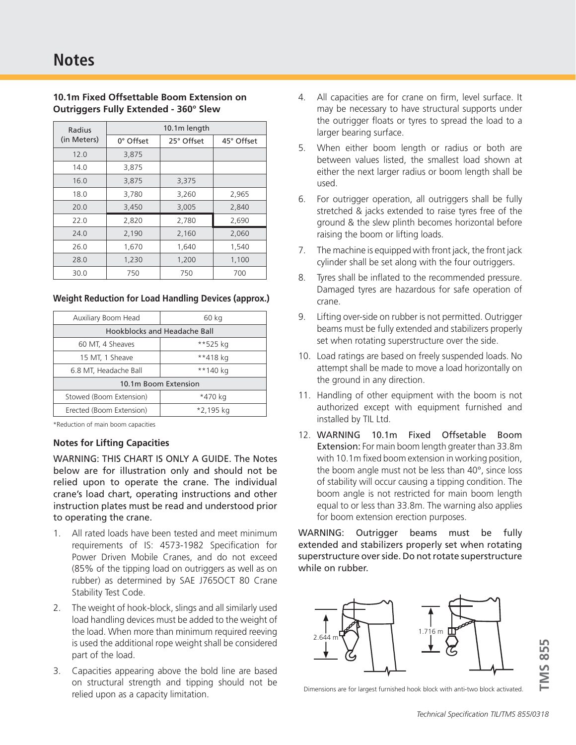| Radius      | 10.1m length |            |            |  |  |  |  |
|-------------|--------------|------------|------------|--|--|--|--|
| (in Meters) | 0° Offset    | 25° Offset | 45° Offset |  |  |  |  |
| 12.0        | 3,875        |            |            |  |  |  |  |
| 14.0        | 3,875        |            |            |  |  |  |  |
| 16.0        | 3,875        | 3,375      |            |  |  |  |  |
| 18.0        | 3,780        | 3,260      | 2,965      |  |  |  |  |
| 20.0        | 3,450        | 3,005      | 2,840      |  |  |  |  |
| 22.0        | 2,820        | 2,780      | 2,690      |  |  |  |  |
| 24.0        | 2,190        | 2,160      | 2,060      |  |  |  |  |
| 26.0        | 1,670        | 1,640      | 1,540      |  |  |  |  |
| 28.0        | 1,230        | 1,200      | 1,100      |  |  |  |  |
| 30.0        | 750          | 750        | 700        |  |  |  |  |

# **10.1m Fixed Offsettable Boom Extension on Outriggers Fully Extended - 360° Slew**

## **Weight Reduction for Load Handling Devices (approx.)**

| Auxiliary Boom Head          | 60 kg     |  |  |  |  |
|------------------------------|-----------|--|--|--|--|
| Hookblocks and Headache Ball |           |  |  |  |  |
| 60 MT, 4 Sheaves             | **525 kg  |  |  |  |  |
| 15 MT, 1 Sheave              | **418 kg  |  |  |  |  |
| 6.8 MT, Headache Ball        | **140 kg  |  |  |  |  |
| 10.1m Boom Extension         |           |  |  |  |  |
| Stowed (Boom Extension)      | *470 kg   |  |  |  |  |
| Erected (Boom Extension)     | *2,195 kg |  |  |  |  |

\*Reduction of main boom capacities

# **Notes for Lifting Capacities**

WARNING: THIS CHART IS ONLY A GUIDE. The Notes below are for illustration only and should not be relied upon to operate the crane. The individual crane's load chart, operating instructions and other instruction plates must be read and understood prior to operating the crane.

- 1. All rated loads have been tested and meet minimum requirements of IS: 4573-1982 Specification for Power Driven Mobile Cranes, and do not exceed (85% of the tipping load on outriggers as well as on rubber) as determined by SAE J765OCT 80 Crane Stability Test Code.
- 2. The weight of hook-block, slings and all similarly used load handling devices must be added to the weight of the load. When more than minimum required reeving is used the additional rope weight shall be considered part of the load.
- 3. Capacities appearing above the bold line are based on structural strength and tipping should not be relied upon as a capacity limitation.
- 4. All capacities are for crane on firm, level surface. It may be necessary to have structural supports under the outrigger floats or tyres to spread the load to a larger bearing surface.
- 5. When either boom length or radius or both are between values listed, the smallest load shown at either the next larger radius or boom length shall be used.
- 6. For outrigger operation, all outriggers shall be fully stretched & jacks extended to raise tyres free of the ground & the slew plinth becomes horizontal before raising the boom or lifting loads.
- 7. The machine is equipped with front jack, the front jack cylinder shall be set along with the four outriggers.
- 8. Tyres shall be inflated to the recommended pressure. Damaged tyres are hazardous for safe operation of crane.
- 9. Lifting over-side on rubber is not permitted. Outrigger beams must be fully extended and stabilizers properly set when rotating superstructure over the side.
- 10. Load ratings are based on freely suspended loads. No attempt shall be made to move a load horizontally on the ground in any direction.
- 11. Handling of other equipment with the boom is not authorized except with equipment furnished and installed by TIL Ltd.
- 12. WARNING 10.1m Fixed Offsetable Boom Extension: For main boom length greater than 33.8m with 10.1m fixed boom extension in working position, the boom angle must not be less than 40°, since loss of stability will occur causing a tipping condition. The boom angle is not restricted for main boom length equal to or less than 33.8m. The warning also applies for boom extension erection purposes.

WARNING: Outrigger beams must be fully extended and stabilizers properly set when rotating superstructure over side. Do not rotate superstructure while on rubber.



Dimensions are for largest furnished hook block with anti-two block activated.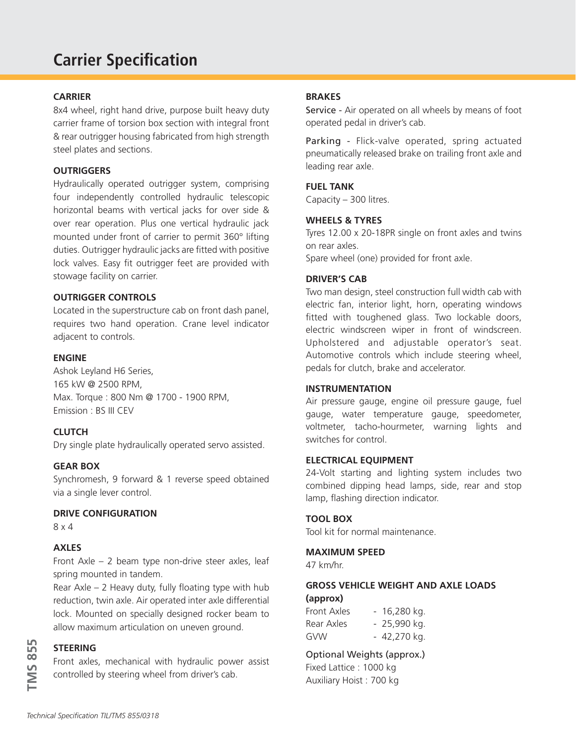# **Carrier Specification**

# **CARRIER**

8x4 wheel, right hand drive, purpose built heavy duty carrier frame of torsion box section with integral front & rear outrigger housing fabricated from high strength steel plates and sections.

# **OUTRIGGERS**

Hydraulically operated outrigger system, comprising four independently controlled hydraulic telescopic horizontal beams with vertical jacks for over side & over rear operation. Plus one vertical hydraulic jack mounted under front of carrier to permit 360° lifting duties. Outrigger hydraulic jacks are fitted with positive lock valves. Easy fit outrigger feet are provided with stowage facility on carrier.

# **OUTRIGGER CONTROLS**

Located in the superstructure cab on front dash panel, requires two hand operation. Crane level indicator adjacent to controls.

# **ENGINE**

Ashok Leyland H6 Series, 165 kW @ 2500 RPM, Max. Torque : 800 Nm @ 1700 - 1900 RPM, Emission : BS III CEV

# **CLUTCH**

Dry single plate hydraulically operated servo assisted.

# **GEAR BOX**

Synchromesh, 9 forward & 1 reverse speed obtained via a single lever control.

# **DRIVE CONFIGURATION**

8 x 4

# **AXLES**

Front Axle – 2 beam type non-drive steer axles, leaf spring mounted in tandem.

Rear Axle – 2 Heavy duty, fully floating type with hub reduction, twin axle. Air operated inter axle differential lock. Mounted on specially designed rocker beam to allow maximum articulation on uneven ground.

# **STEERING**

Front axles, mechanical with hydraulic power assist controlled by steering wheel from driver's cab.

# **BRAKES**

Service - Air operated on all wheels by means of foot operated pedal in driver's cab.

Parking - Flick-valve operated, spring actuated pneumatically released brake on trailing front axle and leading rear axle.

# **FUEL TANK**

Capacity – 300 litres.

# **WHEELS & TYRES**

Tyres 12.00 x 20-18PR single on front axles and twins on rear axles.

Spare wheel (one) provided for front axle.

# **DRIVER'S CAB**

Two man design, steel construction full width cab with electric fan, interior light, horn, operating windows fitted with toughened glass. Two lockable doors, electric windscreen wiper in front of windscreen. Upholstered and adjustable operator's seat. Automotive controls which include steering wheel, pedals for clutch, brake and accelerator.

# **INSTRUMENTATION**

Air pressure gauge, engine oil pressure gauge, fuel gauge, water temperature gauge, speedometer, voltmeter, tacho-hourmeter, warning lights and switches for control.

# **ELECTRICAL EQUIPMENT**

24-Volt starting and lighting system includes two combined dipping head lamps, side, rear and stop lamp, flashing direction indicator.

# **TOOL BOX**

Tool kit for normal maintenance.

#### **MAXIMUM SPEED**

47 km/hr.

# **GROSS VEHICLE WEIGHT AND AXLE LOADS (approx)**

| Front Axles | - 16,280 kg. |
|-------------|--------------|
| Rear Axles  | - 25,990 kg. |
| GVW         | - 42,270 kg. |

# Optional Weights (approx.)

Fixed Lattice : 1000 kg Auxiliary Hoist : 700 kg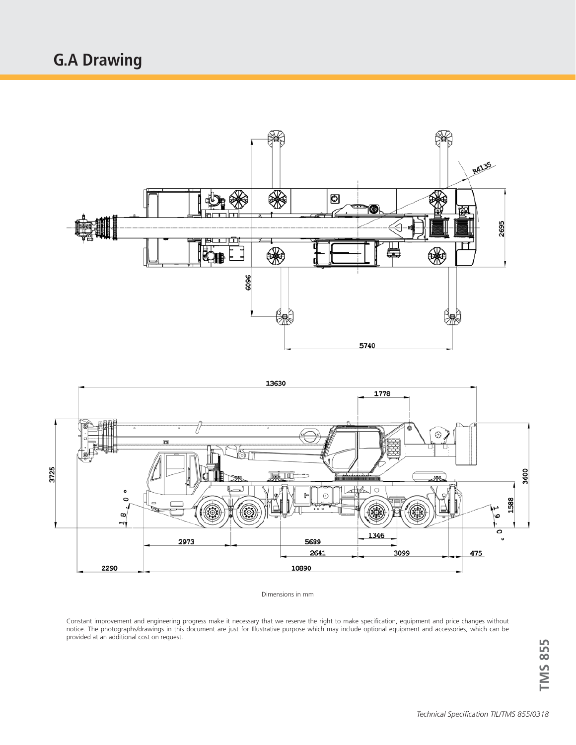# **G.A Drawing**





Dimensions in mm

Constant improvement and engineering progress make it necessary that we reserve the right to make specification, equipment and price changes without notice. The photographs/drawings in this document are just for Illustrative purpose which may include optional equipment and accessories, which can be provided at an additional cost on request.